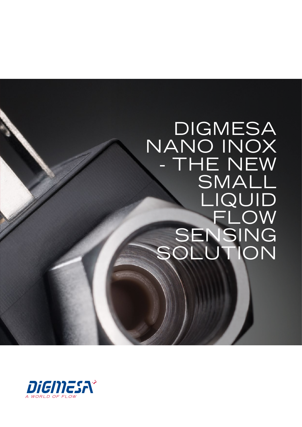## **DIGMESA** NANO INOX - THE NEW SMALL LIQUID<br>FLOW<br>SENSING<br>SOLUTION

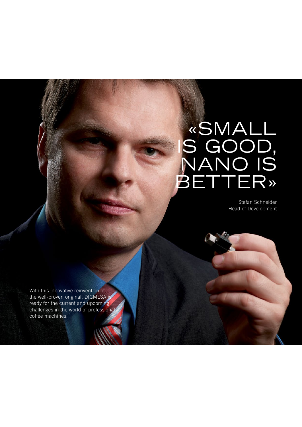## «small is good, nano is **BETTER»**

Stefan Schneider Head of Development

With this innovative reinvention of the well-proven original, DIGMESA is ready for the current and upcoming challenges in the world of professional coffee machines.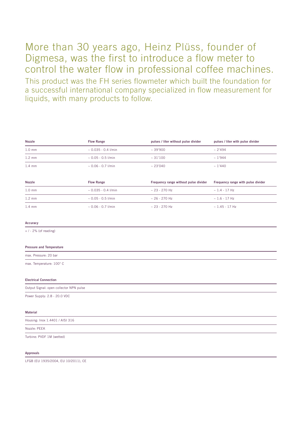## More than 30 years ago, Heinz Plüss, founder of Digmesa, was the first to introduce a flow meter to control the water flow in professional coffee machines.

This product was the FH series flowmeter which built the foundation for a successful international company specialized in flow measurement for liquids, with many products to follow.

| <b>Nozzle</b>                           | <b>Flow Range</b>        | pulses / liter without pulse divider  | pulses / liter with pulse divider  |
|-----------------------------------------|--------------------------|---------------------------------------|------------------------------------|
| $1.0 \text{ mm}$                        | $\sim 0.035 - 0.4$ l/min | $~10-39'900$                          | ~2'494                             |
| $1.2 \text{ mm}$                        | $\sim 0.05 - 0.5$ I/min  | ~100                                  | ~1'944                             |
| $1.4 \text{ mm}$                        | $~0.06 - 0.7$ I/min      | ~23'040                               | ~1'440                             |
| Nozzle                                  | <b>Flow Range</b>        | Frequency range without pulse divider | Frequency range with pulse divider |
| $1.0$ mm                                | $~0.035 - 0.4$ l/min     | $~23 - 270$ Hz                        | $~1.4 - 17$ Hz                     |
| $1.2 \text{ mm}$                        | $~0.05 - 0.5$ l/min      | $~26 - 270$ Hz                        | $~1.6 - 17$ Hz                     |
| $1.4 \text{ mm}$                        | $\sim 0.06 - 0.7$ I/min  | $~23 - 270$ Hz                        | $~1.45 - 17$ Hz                    |
| Accuracy                                |                          |                                       |                                    |
| $+$ / - 2% (of reading)                 |                          |                                       |                                    |
| <b>Pressure and Temperature</b>         |                          |                                       |                                    |
| max. Pressure: 20 bar                   |                          |                                       |                                    |
| max. Temperature: 100° C                |                          |                                       |                                    |
| <b>Electrical Connection</b>            |                          |                                       |                                    |
| Output Signal: open collector NPN pulse |                          |                                       |                                    |
| Power Supply: 2.8 - 20.0 VDC            |                          |                                       |                                    |
| <b>Material</b>                         |                          |                                       |                                    |
| Housing: Inox 1.4401 / AISI 316         |                          |                                       |                                    |
| Nozzle: PEEK                            |                          |                                       |                                    |
| Turbine: PVDF 1M (wetted)               |                          |                                       |                                    |

## Approvals

LFGB (EU 1935/2004, EU 10/2011), CE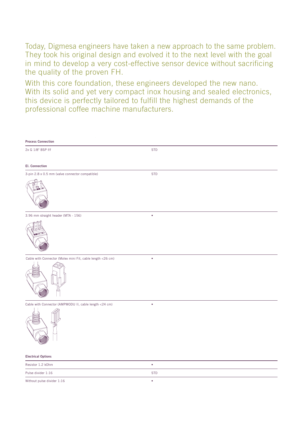Today, Digmesa engineers have taken a new approach to the same problem. They took his original design and evolved it to the next level with the goal in mind to develop a very cost-effective sensor device without sacrificing the quality of the proven FH.

With this core foundation, these engineers developed the new nano. With its solid and yet very compact inox housing and sealed electronics, this device is perfectly tailored to fulfill the highest demands of the professional coffee machine manufacturers.

| <b>Process Connection</b>                                  |            |
|------------------------------------------------------------|------------|
| 2x G 1/8" BSP f/f                                          | <b>STD</b> |
| <b>El. Connection</b>                                      |            |
| 3-pin 2.8 x 0.5 mm (valve connector compatible)            | <b>STD</b> |
|                                                            |            |
| 3.96 mm straight header (MTA - 156)                        |            |
|                                                            |            |
| Cable with Connector (Molex mini Fit, cable length <26 cm) | ٠          |
|                                                            |            |
| Cable with Connector (AMPMODU II, cable length <24 cm)     | $\bullet$  |
|                                                            |            |
| <b>Electrical Options</b>                                  |            |
| Resistor 1.2 kOhm                                          | $\bullet$  |
| Pulse divider 1:16                                         | <b>STD</b> |
| Without pulse divider 1:16                                 | $\bullet$  |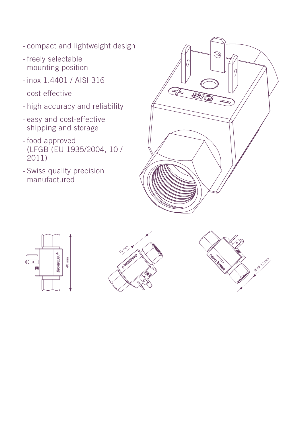- compact and lightweight design
- freely selectable mounting position
- inox 1.4401 / AISI 316
- cost effective
- high accuracy and reliability
- easy and cost-effective shipping and storage
- food approved (LFGB (EU 1935/2004, 10 / 2011)
- Swiss quality precision manufactured